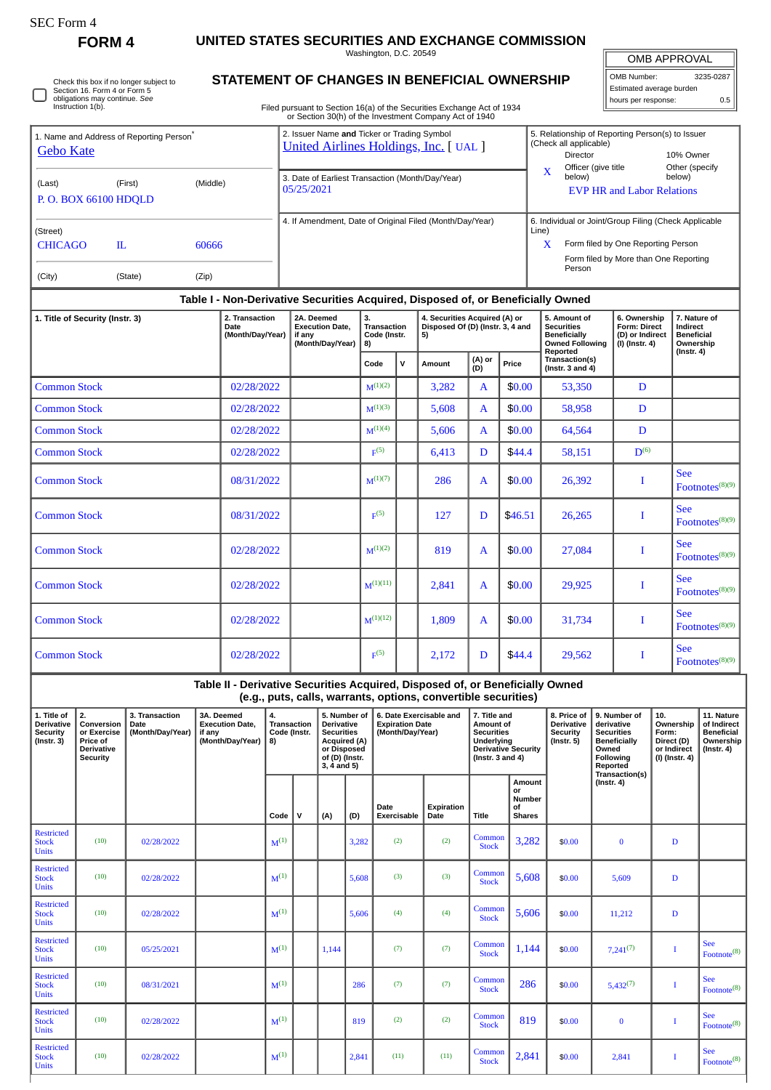∩

Restricted Stock Units

Restricted Stock Units

**Restricted** Stock Units

Restricted Stock Units

**FORM 4 UNITED STATES SECURITIES AND EXCHANGE COMMISSION**

Washington, D.C. 20549

| <b>OMB APPROVAL</b> |
|---------------------|
|                     |

Į

| OMB Number:              | 3235-0287 |
|--------------------------|-----------|
| Estimated average burden |           |
| hours per response:      | 0.5       |

 $\begin{array}{|c|c|c|c|c|}\n\hline \text{Common} & 1,144 & \text{\$0.00} & 7,241^{(7)} & & \text{\quad I} \\
\hline \end{array}$ 

 $\begin{array}{|c|c|c|c|c|c|c|c|} \hline \text{Common} & 286 & $0.00 & 5,432^{(7)} & 1 \ \hline \end{array}$ 

 $\begin{array}{|c|c|c|c|c|c|} \hline \text{Common} & 819 & $0.00 & 0 & 1 \ \hline \end{array}$ 

Common 2,841 \$0.00 2,841 I

See Footnote<sup>(8)</sup>

See Footnote<sup>(8)</sup>

See Footnote<sup>(8)</sup>

See Footnote<sup>(8)</sup>

Check this box if no longer subject to Section 16. Form 4 or Form 5 obligations may continue. *See* Instruction 1(b).

## **STATEMENT OF CHANGES IN BENEFICIAL OWNERSHIP**

|                                                                               | Instruction 1(b).                                                            |                                            |                      |                                            |                                         |                                                                                                                                                                       |                                                                                                        |       |                                                                                    |             | Filed pursuant to Section 16(a) of the Securities Exchange Act of 1934<br>or Section 30(h) of the Investment Company Act of 1940                |                                                                                                                     |                                     |                                                                                                |                                                                                                     |                                |                                                                          |                                  |                                                                                       |                                                                                 |             |  |
|-------------------------------------------------------------------------------|------------------------------------------------------------------------------|--------------------------------------------|----------------------|--------------------------------------------|-----------------------------------------|-----------------------------------------------------------------------------------------------------------------------------------------------------------------------|--------------------------------------------------------------------------------------------------------|-------|------------------------------------------------------------------------------------|-------------|-------------------------------------------------------------------------------------------------------------------------------------------------|---------------------------------------------------------------------------------------------------------------------|-------------------------------------|------------------------------------------------------------------------------------------------|-----------------------------------------------------------------------------------------------------|--------------------------------|--------------------------------------------------------------------------|----------------------------------|---------------------------------------------------------------------------------------|---------------------------------------------------------------------------------|-------------|--|
| 1. Name and Address of Reporting Person <sup>®</sup><br><b>Gebo Kate</b>      |                                                                              |                                            |                      |                                            |                                         | 2. Issuer Name and Ticker or Trading Symbol<br><b>United Airlines Holdings, Inc.</b> [ UAL ]                                                                          |                                                                                                        |       |                                                                                    |             |                                                                                                                                                 |                                                                                                                     |                                     |                                                                                                | 5. Relationship of Reporting Person(s) to Issuer<br>(Check all applicable)<br>Director<br>10% Owner |                                |                                                                          |                                  |                                                                                       |                                                                                 |             |  |
| (Middle)<br>(Last)<br>(First)<br>P.O. BOX 66100 HDQLD                         |                                                                              |                                            |                      |                                            |                                         | Officer (give title<br>Other (specify<br>X<br>below)<br>below)<br>3. Date of Earliest Transaction (Month/Day/Year)<br>05/25/2021<br><b>EVP HR and Labor Relations</b> |                                                                                                        |       |                                                                                    |             |                                                                                                                                                 |                                                                                                                     |                                     |                                                                                                |                                                                                                     |                                |                                                                          |                                  |                                                                                       |                                                                                 |             |  |
| (Street)<br><b>CHICAGO</b><br>IL.<br>60666                                    |                                                                              |                                            |                      |                                            |                                         | 4. If Amendment, Date of Original Filed (Month/Day/Year)<br>6. Individual or Joint/Group Filing (Check Applicable<br>Line)<br>Form filed by One Reporting Person<br>X |                                                                                                        |       |                                                                                    |             |                                                                                                                                                 |                                                                                                                     |                                     |                                                                                                |                                                                                                     |                                |                                                                          |                                  |                                                                                       |                                                                                 |             |  |
| (City)                                                                        | (State)<br>(Zip)                                                             |                                            |                      |                                            |                                         |                                                                                                                                                                       |                                                                                                        |       |                                                                                    |             |                                                                                                                                                 |                                                                                                                     |                                     |                                                                                                | Person                                                                                              |                                | Form filed by More than One Reporting                                    |                                  |                                                                                       |                                                                                 |             |  |
|                                                                               |                                                                              |                                            |                      |                                            |                                         |                                                                                                                                                                       |                                                                                                        |       |                                                                                    |             | Table I - Non-Derivative Securities Acquired, Disposed of, or Beneficially Owned                                                                |                                                                                                                     |                                     |                                                                                                |                                                                                                     |                                |                                                                          |                                  |                                                                                       |                                                                                 |             |  |
| 2. Transaction<br>1. Title of Security (Instr. 3)<br>Date<br>(Month/Day/Year) |                                                                              |                                            |                      |                                            |                                         | 2A. Deemed<br><b>Execution Date.</b><br>if any<br>(Month/Day/Year)                                                                                                    |                                                                                                        |       | 3.<br><b>Transaction</b><br>Code (Instr.<br>8)                                     |             | 4. Securities Acquired (A) or<br>Disposed Of (D) (Instr. 3, 4 and<br>5)                                                                         |                                                                                                                     |                                     | 5. Amount of<br><b>Securities</b><br><b>Beneficially</b><br><b>Owned Following</b><br>Reported |                                                                                                     |                                | 6. Ownership<br><b>Form: Direct</b><br>(D) or Indirect<br>(I) (Instr. 4) |                                  | 7. Nature of<br><b>Indirect</b><br><b>Beneficial</b><br>Ownership<br>$($ lnstr. 4 $)$ |                                                                                 |             |  |
|                                                                               |                                                                              |                                            |                      |                                            |                                         |                                                                                                                                                                       |                                                                                                        |       | Code                                                                               | v           | Amount                                                                                                                                          | (A) or<br>(D)                                                                                                       | Price                               |                                                                                                | Transaction(s)<br>(Instr. $3$ and $4$ )                                                             |                                |                                                                          |                                  |                                                                                       |                                                                                 |             |  |
| <b>Common Stock</b>                                                           |                                                                              |                                            |                      | 02/28/2022                                 |                                         |                                                                                                                                                                       |                                                                                                        |       | $M^{(1)(2)}$                                                                       |             | 3,282                                                                                                                                           | A                                                                                                                   | \$0.00                              |                                                                                                | 53,350                                                                                              |                                | D                                                                        |                                  |                                                                                       |                                                                                 |             |  |
| <b>Common Stock</b>                                                           |                                                                              |                                            |                      | 02/28/2022                                 |                                         |                                                                                                                                                                       |                                                                                                        |       | $M^{(1)(3)}$                                                                       |             | 5,608                                                                                                                                           | A                                                                                                                   | \$0.00                              |                                                                                                | 58,958                                                                                              |                                | D                                                                        |                                  |                                                                                       |                                                                                 |             |  |
| <b>Common Stock</b>                                                           |                                                                              |                                            |                      | 02/28/2022                                 |                                         |                                                                                                                                                                       |                                                                                                        |       | $M^{(1)(4)}$                                                                       |             | 5,606                                                                                                                                           | A                                                                                                                   | \$0.00                              |                                                                                                | 64,564                                                                                              |                                | D                                                                        |                                  |                                                                                       |                                                                                 |             |  |
| <b>Common Stock</b>                                                           |                                                                              |                                            |                      | 02/28/2022                                 |                                         |                                                                                                                                                                       |                                                                                                        |       | F <sup>(5)</sup>                                                                   |             | 6,413                                                                                                                                           | D                                                                                                                   | \$44.4                              |                                                                                                | 58,151                                                                                              |                                | D <sup>(6)</sup>                                                         |                                  |                                                                                       |                                                                                 |             |  |
| <b>Common Stock</b>                                                           |                                                                              |                                            |                      | 08/31/2022                                 |                                         |                                                                                                                                                                       |                                                                                                        |       | $M^{(1)(7)}$                                                                       |             | 286                                                                                                                                             | A                                                                                                                   |                                     | \$0.00<br>26,392                                                                               |                                                                                                     | T                              |                                                                          |                                  | <b>See</b><br>Footnotes $(8)(9)$                                                      |                                                                                 |             |  |
| <b>Common Stock</b>                                                           |                                                                              |                                            | 08/31/2022           |                                            |                                         |                                                                                                                                                                       |                                                                                                        | F(5)  |                                                                                    | 127         | D                                                                                                                                               | \$46.51                                                                                                             |                                     | 26,265                                                                                         |                                                                                                     | I                              |                                                                          | <b>See</b><br>Footnotes $(8)(9)$ |                                                                                       |                                                                                 |             |  |
| <b>Common Stock</b><br>02/28/2022                                             |                                                                              |                                            |                      |                                            |                                         |                                                                                                                                                                       |                                                                                                        |       | $M^{(1)(2)}$                                                                       |             | 819                                                                                                                                             | A                                                                                                                   | \$0.00                              |                                                                                                | 27,084                                                                                              |                                | I                                                                        |                                  | <b>See</b><br>Footnotes <sup>(8)(9)</sup>                                             |                                                                                 |             |  |
| <b>Common Stock</b>                                                           |                                                                              |                                            |                      | 02/28/2022                                 |                                         |                                                                                                                                                                       |                                                                                                        |       | $M^{(1)(11)}$                                                                      |             | 2,841                                                                                                                                           | A                                                                                                                   | \$0.00                              |                                                                                                | 29,925                                                                                              |                                | I                                                                        |                                  | <b>See</b>                                                                            | Footnotes <sup>(8)(9)</sup>                                                     |             |  |
| <b>Common Stock</b><br>02/28/2022                                             |                                                                              |                                            |                      |                                            |                                         |                                                                                                                                                                       |                                                                                                        |       | $M^{(1)(12)}$                                                                      |             | 1,809                                                                                                                                           | A                                                                                                                   | \$0.00                              | 31,734                                                                                         |                                                                                                     |                                | I                                                                        |                                  | <b>See</b><br>Footnotes $(8)(9)$                                                      |                                                                                 |             |  |
| <b>Common Stock</b>                                                           |                                                                              |                                            |                      | 02/28/2022                                 |                                         |                                                                                                                                                                       |                                                                                                        |       | F(5)                                                                               |             | 2,172                                                                                                                                           | D                                                                                                                   | \$44.4                              |                                                                                                | 29,562                                                                                              |                                | I                                                                        |                                  | <b>See</b>                                                                            | Footnotes <sup>(8)(9)</sup>                                                     |             |  |
|                                                                               |                                                                              |                                            |                      |                                            |                                         |                                                                                                                                                                       |                                                                                                        |       |                                                                                    |             | Table II - Derivative Securities Acquired, Disposed of, or Beneficially Owned<br>(e.g., puts, calls, warrants, options, convertible securities) |                                                                                                                     |                                     |                                                                                                |                                                                                                     |                                |                                                                          |                                  |                                                                                       |                                                                                 |             |  |
| 1. Title of<br>Derivative<br><b>Security</b><br>$($ Instr. 3 $)$              | 2.<br>Conversion<br>or Exercise<br>Price of<br>Derivative<br><b>Security</b> | 3. Transaction<br>Date<br>(Month/Day/Year) | 3A. Deemed<br>if any | <b>Execution Date,</b><br>(Month/Day/Year) | 4.<br>Transaction<br>Code (Instr.<br>8) |                                                                                                                                                                       | Derivative<br><b>Securities</b><br><b>Acquired (A)</b><br>or Disposed<br>of (D) (Instr.<br>3, 4 and 5) |       | 5. Number of 6. Date Exercisable and<br><b>Expiration Date</b><br>(Month/Day/Year) |             |                                                                                                                                                 | 7. Title and<br>Amount of<br><b>Securities</b><br>Underlying<br><b>Derivative Security</b><br>(Instr. $3$ and $4$ ) |                                     | 8. Price of<br><b>Derivative</b><br><b>Security</b><br>(Instr. 5)                              |                                                                                                     | Owned<br>Following<br>Reported | 9. Number of<br>derivative<br><b>Securities</b><br><b>Beneficially</b>   | 10.<br>Form:                     | Ownership<br>Direct (D)<br>or Indirect<br>(I) (Instr. 4)                              | 11. Nature<br>of Indirect<br><b>Beneficial</b><br>Ownership<br>$($ Instr. 4 $)$ |             |  |
|                                                                               |                                                                              |                                            |                      |                                            | Code                                    | ${\sf v}$                                                                                                                                                             | (A)                                                                                                    | (D)   | Date                                                                               | Exercisable | Expiration<br>Date                                                                                                                              | <b>Title</b>                                                                                                        | or<br>Number<br>οf<br><b>Shares</b> | Amount                                                                                         |                                                                                                     | $($ Instr. 4 $)$               | Transaction(s)                                                           |                                  |                                                                                       |                                                                                 |             |  |
| <b>Restricted</b><br><b>Stock</b><br><b>Units</b>                             | (10)                                                                         | 02/28/2022                                 |                      |                                            | $M^{(1)}$                               |                                                                                                                                                                       |                                                                                                        | 3,282 |                                                                                    |             | (2)                                                                                                                                             |                                                                                                                     | (2)                                 | Common<br><b>Stock</b>                                                                         |                                                                                                     | 3,282                          | \$0.00                                                                   |                                  | $\bf{0}$                                                                              |                                                                                 | $\mathbf D$ |  |
| <b>Restricted</b><br><b>Stock</b><br><b>Units</b>                             | (10)                                                                         | 02/28/2022                                 |                      |                                            | $M^{(1)}$                               |                                                                                                                                                                       |                                                                                                        | 5,608 | (3)                                                                                |             | (3)                                                                                                                                             | Common<br><b>Stock</b>                                                                                              |                                     | 5,608                                                                                          | \$0.00                                                                                              |                                | 5,609                                                                    | D                                |                                                                                       |                                                                                 |             |  |
| <b>Restricted</b><br><b>Stock</b><br><b>Units</b>                             | (10)                                                                         | 02/28/2022                                 |                      |                                            | $M^{(1)}$                               |                                                                                                                                                                       |                                                                                                        |       | (4)<br>5,606                                                                       |             | (4)                                                                                                                                             | Common<br><b>Stock</b>                                                                                              |                                     | 5,606                                                                                          | \$0.00                                                                                              | 11,212                         |                                                                          | D                                |                                                                                       |                                                                                 |             |  |

(10)  $0.5/25/2021$   $M^{(1)}$  1,144 (7) (7) Common Stock

(10)  $08/31/2021$   $M^{(1)}$  286 (7) (7) Common Stock

(10)  $02/28/2022$   $M^{(1)}$  819 (2) (2) Common Stock

(10)  $02/28/2022$   $M^{(1)}$   $2,841$  (11)  $(11)$  Common Stock